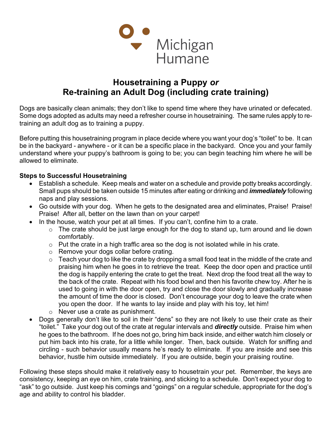

## Housetraining a Puppy or Re-training an Adult Dog (including crate training)

Dogs are basically clean animals; they don't like to spend time where they have urinated or defecated. Some dogs adopted as adults may need a refresher course in housetraining. The same rules apply to retraining an adult dog as to training a puppy.

Before putting this housetraining program in place decide where you want your dog's "toilet" to be. It can be in the backyard - anywhere - or it can be a specific place in the backyard. Once you and your family understand where your puppy's bathroom is going to be; you can begin teaching him where he will be allowed to eliminate.

## Steps to Successful Housetraining

- Establish a schedule. Keep meals and water on a schedule and provide potty breaks accordingly. Small pups should be taken outside 15 minutes after eating or drinking and *immediately* following naps and play sessions.
- Go outside with your dog. When he gets to the designated area and eliminates, Praise! Praise! Praise! After all, better on the lawn than on your carpet!
- $\bullet$  In the house, watch your pet at all times. If you can't, confine him to a crate.
	- $\circ$  The crate should be just large enough for the dog to stand up, turn around and lie down comfortably.
	- o Put the crate in a high traffic area so the dog is not isolated while in his crate.
	- o Remove your dogs collar before crating.
	- $\circ$  Teach your dog to like the crate by dropping a small food teat in the middle of the crate and praising him when he goes in to retrieve the treat. Keep the door open and practice until the dog is happily entering the crate to get the treat. Next drop the food treat all the way to the back of the crate. Repeat with his food bowl and then his favorite chew toy. After he is used to going in with the door open, try and close the door slowly and gradually increase the amount of time the door is closed. Don't encourage your dog to leave the crate when you open the door. If he wants to lay inside and play with his toy, let him!
	- o Never use a crate as punishment.
- Dogs generally don't like to soil in their "dens" so they are not likely to use their crate as their "toilet." Take your dog out of the crate at regular intervals and **directly** outside. Praise him when he goes to the bathroom. If he does not go, bring him back inside, and either watch him closely or put him back into his crate, for a little while longer. Then, back outside. Watch for sniffing and circling - such behavior usually means he's ready to eliminate. If you are inside and see this behavior, hustle him outside immediately. If you are outside, begin your praising routine.

Following these steps should make it relatively easy to housetrain your pet. Remember, the keys are consistency, keeping an eye on him, crate training, and sticking to a schedule. Don't expect your dog to "ask" to go outside. Just keep his comings and "goings" on a regular schedule, appropriate for the dog's age and ability to control his bladder.